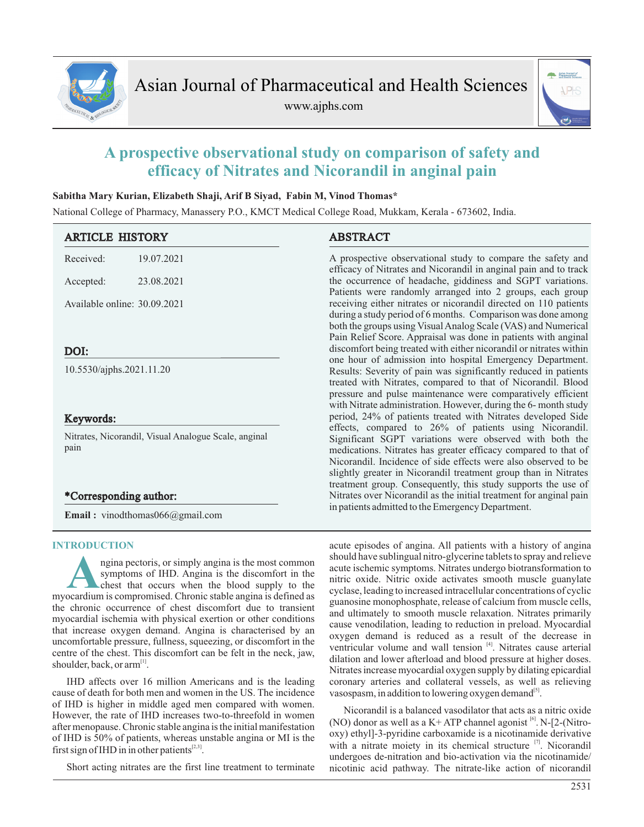

www.ajphs.com



# **A prospective observational study on comparison of safety and efficacy of Nitrates and Nicorandil in anginal pain**

## **Sabitha Mary Kurian, Elizabeth Shaji, Arif B Siyad, Fabin M, Vinod Thomas\***

National College of Pharmacy, Manassery P.O., KMCT Medical College Road, Mukkam, Kerala - 673602, India.

| <b>ARTICLE HISTORY</b>       |                                                      | <b>ABSTRACT</b>                                                                                                                                                                                                                                                                                                                                                                           |  |  |  |  |
|------------------------------|------------------------------------------------------|-------------------------------------------------------------------------------------------------------------------------------------------------------------------------------------------------------------------------------------------------------------------------------------------------------------------------------------------------------------------------------------------|--|--|--|--|
| Received:                    | 19.07.2021                                           | A prospective observational study to compare the safety and<br>efficacy of Nitrates and Nicorandil in anginal pain and to track                                                                                                                                                                                                                                                           |  |  |  |  |
| Accepted:                    | 23.08.2021                                           | the occurrence of headache, giddiness and SGPT variations.<br>Patients were randomly arranged into 2 groups, each group                                                                                                                                                                                                                                                                   |  |  |  |  |
| Available online: 30.09.2021 |                                                      | receiving either nitrates or nicorandil directed on 110 patients<br>during a study period of 6 months. Comparison was done among<br>both the groups using Visual Analog Scale (VAS) and Numerical<br>Pain Relief Score. Appraisal was done in patients with anginal                                                                                                                       |  |  |  |  |
| DOI:                         |                                                      | discomfort being treated with either nicorandil or nitrates within                                                                                                                                                                                                                                                                                                                        |  |  |  |  |
| 10.5530/ajphs.2021.11.20     |                                                      | one hour of admission into hospital Emergency Department.<br>Results: Severity of pain was significantly reduced in patients<br>treated with Nitrates, compared to that of Nicorandil. Blood<br>pressure and pulse maintenance were comparatively efficient<br>with Nitrate administration. However, during the 6- month study                                                            |  |  |  |  |
| Keywords:                    |                                                      | period, 24% of patients treated with Nitrates developed Side                                                                                                                                                                                                                                                                                                                              |  |  |  |  |
| pain                         | Nitrates, Nicorandil, Visual Analogue Scale, anginal | effects, compared to 26% of patients using Nicorandil.<br>Significant SGPT variations were observed with both the<br>medications. Nitrates has greater efficacy compared to that of<br>Nicorandil. Incidence of side effects were also observed to be<br>slightly greater in Nicorandil treatment group than in Nitrates<br>treatment group. Consequently, this study supports the use of |  |  |  |  |
| *Corresponding author:       |                                                      | Nitrates over Nicorandil as the initial treatment for anginal pain                                                                                                                                                                                                                                                                                                                        |  |  |  |  |
|                              | <b>Email:</b> vinodthomas066@gmail.com               | in patients admitted to the Emergency Department.                                                                                                                                                                                                                                                                                                                                         |  |  |  |  |

## **INTRODUCTION**

**A** ngina pectoris, or simply angina is the most common symptoms of IHD. Angina is the discomfort in the chest that occurs when the blood supply to the myocardium is compromised. Chronic stable angina is defined as ngina pectoris, or simply angina is the most common symptoms of IHD. Angina is the discomfort in the chest that occurs when the blood supply to the the chronic occurrence of chest discomfort due to transient myocardial ischemia with physical exertion or other conditions that increase oxygen demand. Angina is characterised by an uncomfortable pressure, fullness, squeezing, or discomfort in the centre of the chest. This discomfort can be felt in the neck, jaw, shoulder, back, or  $arm$ <sup>[1]</sup>.

IHD affects over 16 million Americans and is the leading cause of death for both men and women in the US. The incidence of IHD is higher in middle aged men compared with women. However, the rate of IHD increases two-to-threefold in women after menopause. Chronic stable angina is the initial manifestation of IHD is 50% of patients, whereas unstable angina or MI is the first sign of IHD in in other patients  $[2,3]$ .

Short acting nitrates are the first line treatment to terminate

acute episodes of angina. All patients with a history of angina should have sublingual nitro-glycerine tablets to spray and relieve acute ischemic symptoms. Nitrates undergo biotransformation to nitric oxide. Nitric oxide activates smooth muscle guanylate cyclase, leading to increased intracellular concentrations of cyclic guanosine monophosphate, release of calcium from muscle cells, and ultimately to smooth muscle relaxation. Nitrates primarily cause venodilation, leading to reduction in preload. Myocardial oxygen demand is reduced as a result of the decrease in ventricular volume and wall tension <sup>[4]</sup>. Nitrates cause arterial dilation and lower afterload and blood pressure at higher doses. Nitrates increase myocardial oxygen supply by dilating epicardial coronary arteries and collateral vessels, as well as relieving vasospasm, in addition to lowering oxygen demand<sup>[5]</sup>.

Nicorandil is a balanced vasodilator that acts as a nitric oxide (NO) donor as well as a K+ ATP channel agonist  $^{[6]}$ . N-[2-(Nitrooxy) ethyl]-3-pyridine carboxamide is a nicotinamide derivative with a nitrate moiety in its chemical structure  $[7]$ . Nicorandil undergoes de-nitration and bio-activation via the nicotinamide/ nicotinic acid pathway. The nitrate-like action of nicorandil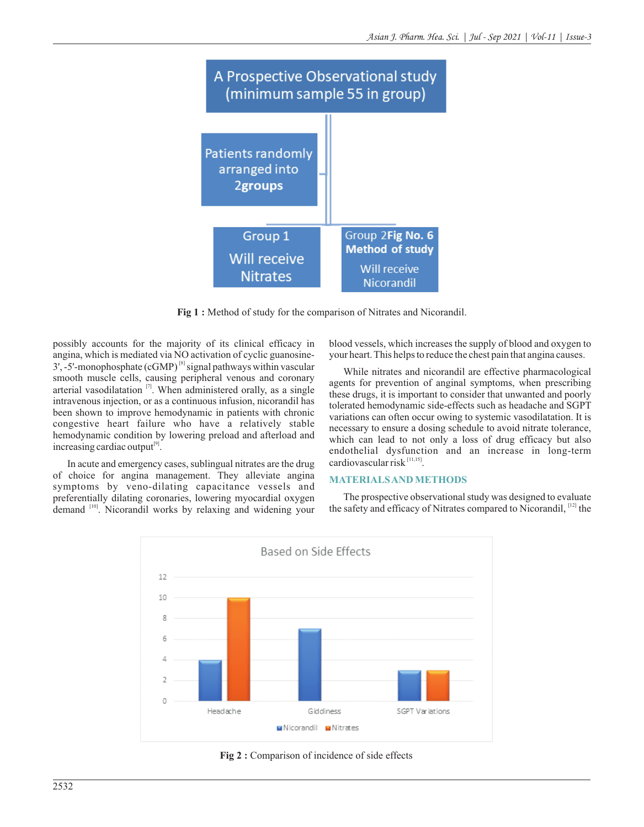

**Fig 1 :** Method of study for the comparison of Nitrates and Nicorandil.

possibly accounts for the majority of its clinical efficacy in angina, which is mediated via NO activation of cyclic guanosine-  $3'$ , -5'-monophosphate (cGMP)<sup>[8]</sup> signal pathways within vascular smooth muscle cells, causing peripheral venous and coronary arterial vasodilatation  $\left[\right]$ . When administered orally, as a single intravenous injection, or as a continuous infusion, nicorandil has been shown to improve hemodynamic in patients with chronic congestive heart failure who have a relatively stable hemodynamic condition by lowering preload and afterload and increasing cardiac output $[9]$ .

In acute and emergency cases, sublingual nitrates are the drug of choice for angina management. They alleviate angina symptoms by veno-dilating capacitance vessels and preferentially dilating coronaries, lowering myocardial oxygen demand <sup>[10]</sup>. Nicorandil works by relaxing and widening your blood vessels, which increases the supply of blood and oxygen to your heart. This helps to reduce the chest pain that angina causes.

While nitrates and nicorandil are effective pharmacological agents for prevention of anginal symptoms, when prescribing these drugs, it is important to consider that unwanted and poorly tolerated hemodynamic side-effects such as headache and SGPT variations can often occur owing to systemic vasodilatation. It is necessary to ensure a dosing schedule to avoid nitrate tolerance, which can lead to not only a loss of drug efficacy but also endothelial dysfunction and an increase in long-term cardiovascular risk  $^{[11,15]}$ .

## **MATERIALS AND METHODS**

The prospective observational study was designed to evaluate the safety and efficacy of Nitrates compared to Nicorandil, [12] the



Fig 2 : Comparison of incidence of side effects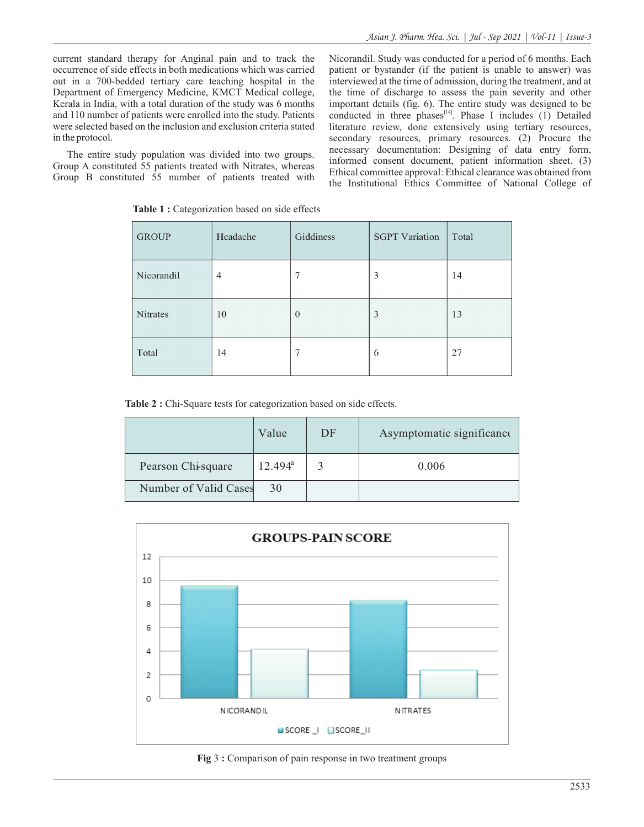current standard therapy for Anginal pain and to track the occurrence of side effects in both medications which was carried out in a 700-bedded tertiary care teaching hospital in the Department of Emergency Medicine, KMCT Medical college, Kerala in India, with a total duration of the study was 6 months and 110 number of patients were enrolled into the study. Patients were selected based on the inclusion and exclusion criteria stated in the protocol.

The entire study population was divided into two groups. Group A constituted 55 patients treated with Nitrates, whereas Group B constituted 55 number of patients treated with Nicorandil. Study was conducted for a period of 6 months. Each patient or bystander (if the patient is unable to answer) was interviewed at the time of admission, during the treatment, and at the time of discharge to assess the pain severity and other important details (fig. 6). The entire study was designed to be conducted in three phases $I<sup>[14]</sup>$ . Phase I includes (1) Detailed literature review, done extensively using tertiary resources, secondary resources, primary resources. (2) Procure the necessary documentation: Designing of data entry form, informed consent document, patient information sheet. (3) Ethical committee approval: Ethical clearance was obtained from the Institutional Ethics Committee of National College of

| <b>GROUP</b> | Headache | Giddiness      | <b>SGPT Variation</b> | Total |
|--------------|----------|----------------|-----------------------|-------|
| Nicorandil   | 4        | 7              | 3                     | 14    |
| Nitrates     | 10       | $\overline{0}$ | 3                     | 13    |
| Total        | 14       | 7              | 6                     | 27    |

Table 1 : Categorization based on side effects

**Table 2 :** Chi-Square tests for categorization based on side effects.

|                       | Value      | DF | Asymptomatic significance |
|-----------------------|------------|----|---------------------------|
| Pearson Chi-square    | $12.494^a$ |    | 0.006                     |
| Number of Valid Cases | 30         |    |                           |



![](_page_2_Figure_9.jpeg)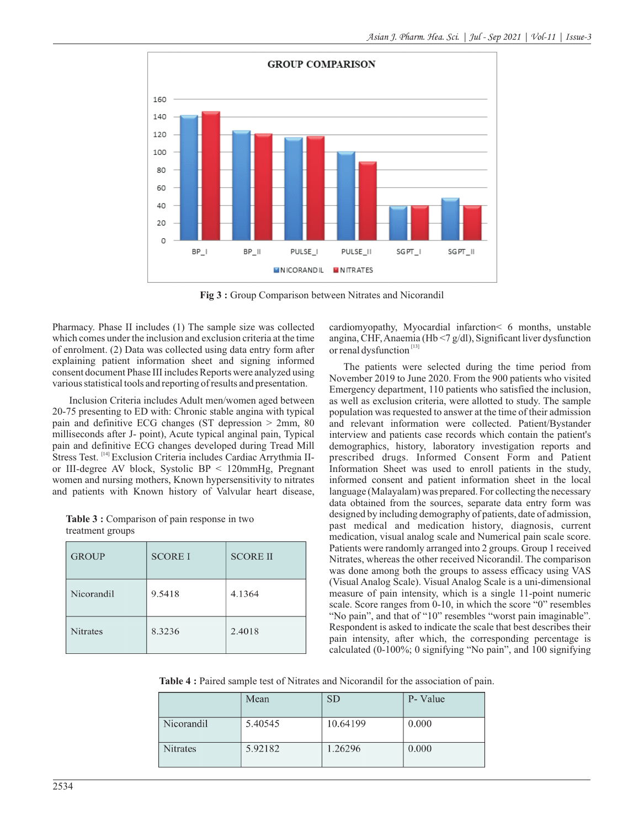![](_page_3_Figure_1.jpeg)

**Fig 3 :** Group Comparison between Nitrates and Nicorandil

Pharmacy. Phase II includes (1) The sample size was collected which comes under the inclusion and exclusion criteria at the time of enrolment. (2) Data was collected using data entry form after explaining patient information sheet and signing informed consent document Phase III includes Reports were analyzed using various statistical tools and reporting of results and presentation.

 Inclusion Criteria includes Adult men/women aged between 20-75 presenting to ED with: Chronic stable angina with typical pain and definitive ECG changes (ST depression > 2mm, 80 milliseconds after J- point), Acute typical anginal pain, Typical pain and definitive ECG changes developed during Tread Mill Stress Test. <sup>[14]</sup> Exclusion Criteria includes Cardiac Arrythmia IIor III-degree AV block, Systolic BP < 120mmHg, Pregnant women and nursing mothers, Known hypersensitivity to nitrates and patients with Known history of Valvular heart disease,

**Table 3 :** Comparison of pain response in two treatment groups

| <b>GROUP</b>    | <b>SCORE I</b> | <b>SCORE II</b> |
|-----------------|----------------|-----------------|
| Nicorandil      | 9.5418         | 4.1364          |
| <b>Nitrates</b> | 8.3236         | 2.4018          |

cardiomyopathy, Myocardial infarction< 6 months, unstable angina, CHF, Anaemia (Hb <7 g/dl), Significant liver dysfunction or renal dysfunction<sup>[13]</sup>

The patients were selected during the time period from November 2019 to June 2020. From the 900 patients who visited Emergency department, 110 patients who satisfied the inclusion, as well as exclusion criteria, were allotted to study. The sample population was requested to answer at the time of their admission and relevant information were collected. Patient/Bystander interview and patients case records which contain the patient's demographics, history, laboratory investigation reports and prescribed drugs. Informed Consent Form and Patient Information Sheet was used to enroll patients in the study, informed consent and patient information sheet in the local language (Malayalam) was prepared. For collecting the necessary data obtained from the sources, separate data entry form was designed by including demography of patients, date of admission, past medical and medication history, diagnosis, current medication, visual analog scale and Numerical pain scale score. Patients were randomly arranged into 2 groups. Group 1 received Nitrates, whereas the other received Nicorandil. The comparison was done among both the groups to assess efficacy using VAS (Visual Analog Scale). Visual Analog Scale is a uni-dimensional measure of pain intensity, which is a single 11-point numeric scale. Score ranges from 0-10, in which the score "0" resembles "No pain", and that of "10" resembles "worst pain imaginable". Respondent is asked to indicate the scale that best describes their pain intensity, after which, the corresponding percentage is calculated (0-100%; 0 signifying "No pain", and 100 signifying

**Table 4 :** Paired sample test of Nitrates and Nicorandil for the association of pain.

|                 | Mean    | <b>SD</b> | P- Value |
|-----------------|---------|-----------|----------|
| Nicorandil      | 5.40545 | 10.64199  | 0.000    |
| <b>Nitrates</b> | 5.92182 | 1.26296   | 0.000    |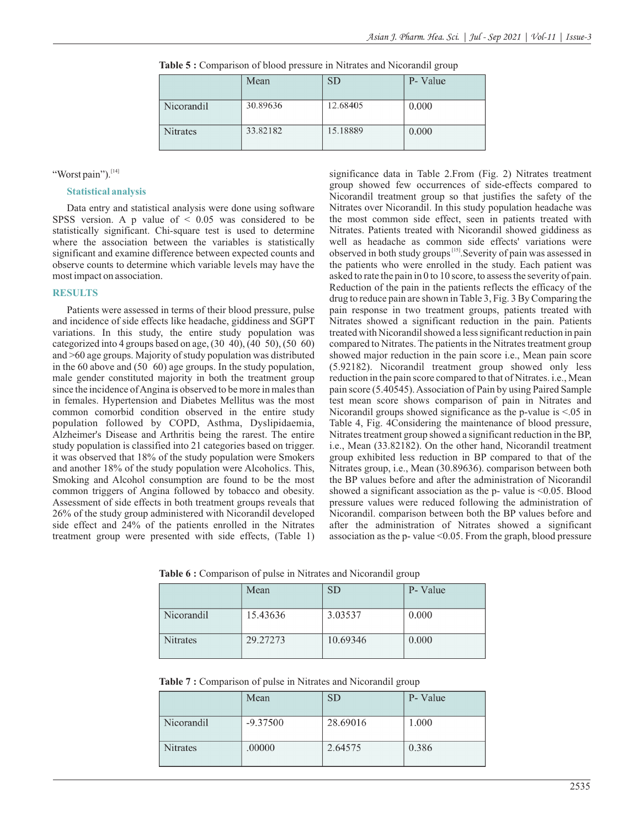|            | Mean     | ${\rm SD}$ | P- Value |
|------------|----------|------------|----------|
| Nicorandil | 30.89636 | 12.68405   | 0.000    |
| Nitrates   | 33.82182 | 15.18889   | 0.000    |

**Table 5 :** Comparison of blood pressure in Nitrates and Nicorandil group

#### "Worst pain"). $^{[14]}$

#### **Statistical analysis**

Data entry and statistical analysis were done using software SPSS version. A p value of  $\leq 0.05$  was considered to be statistically significant. Chi-square test is used to determine where the association between the variables is statistically significant and examine difference between expected counts and observe counts to determine which variable levels may have the most impact on association.

#### **RESULTS**

Patients were assessed in terms of their blood pressure, pulse and incidence of side effects like headache, giddiness and SGPT variations. In this study, the entire study population was categorized into 4 groups based on age, (30 40), (40 50), (50 60) and >60 age groups. Majority of study population was distributed in the 60 above and (50 60) age groups. In the study population, male gender constituted majority in both the treatment group since the incidence of Angina is observed to be more in males than in females. Hypertension and Diabetes Mellitus was the most common comorbid condition observed in the entire study population followed by COPD, Asthma, Dyslipidaemia, Alzheimer's Disease and Arthritis being the rarest. The entire study population is classified into 21 categories based on trigger. it was observed that 18% of the study population were Smokers and another 18% of the study population were Alcoholics. This, Smoking and Alcohol consumption are found to be the most common triggers of Angina followed by tobacco and obesity. Assessment of side effects in both treatment groups reveals that 26% of the study group administered with Nicorandil developed side effect and 24% of the patients enrolled in the Nitrates treatment group were presented with side effects, (Table 1) significance data in Table 2.From (Fig. 2) Nitrates treatment group showed few occurrences of side-effects compared to Nicorandil treatment group so that justifies the safety of the Nitrates over Nicorandil. In this study population headache was the most common side effect, seen in patients treated with Nitrates. Patients treated with Nicorandil showed giddiness as well as headache as common side effects' variations were observed in both study groups<sup>[15]</sup>. Severity of pain was assessed in the patients who were enrolled in the study. Each patient was asked to rate the pain in 0 to 10 score, to assess the severity of pain. Reduction of the pain in the patients reflects the efficacy of the drug to reduce pain are shown in Table 3, Fig. 3 By Comparing the pain response in two treatment groups, patients treated with Nitrates showed a significant reduction in the pain. Patients treated with Nicorandil showed a less significant reduction in pain compared to Nitrates. The patients in the Nitrates treatment group showed major reduction in the pain score i.e., Mean pain score (5.92182). Nicorandil treatment group showed only less reduction in the pain score compared to that of Nitrates. i.e., Mean pain score (5.40545). Association of Pain by using Paired Sample test mean score shows comparison of pain in Nitrates and Nicorandil groups showed significance as the p-value is <.05 in Table 4, Fig. 4Considering the maintenance of blood pressure, Nitrates treatment group showed a significant reduction in the BP, i.e., Mean (33.82182). On the other hand, Nicorandil treatment group exhibited less reduction in BP compared to that of the Nitrates group, i.e., Mean (30.89636). comparison between both the BP values before and after the administration of Nicorandil showed a significant association as the  $p$ - value is  $\leq 0.05$ . Blood pressure values were reduced following the administration of Nicorandil. comparison between both the BP values before and after the administration of Nitrates showed a significant association as the p- value  $\leq 0.05$ . From the graph, blood pressure

**Table 6 :** Comparison of pulse in Nitrates and Nicorandil group

|                 | Mean     | SD       | P- Value |
|-----------------|----------|----------|----------|
| Nicorandil      | 15.43636 | 3.03537  | 0.000    |
| <b>Nitrates</b> | 29.27273 | 10.69346 | 0.000    |

|  |  | Table 7: Comparison of pulse in Nitrates and Nicorandil group |  |  |  |  |  |  |
|--|--|---------------------------------------------------------------|--|--|--|--|--|--|
|--|--|---------------------------------------------------------------|--|--|--|--|--|--|

|                 | Mean       | SD       | P- Value |
|-----------------|------------|----------|----------|
| Nicorandil      | $-9.37500$ | 28.69016 | 1.000    |
| <b>Nitrates</b> | .00000     | 2.64575  | 0.386    |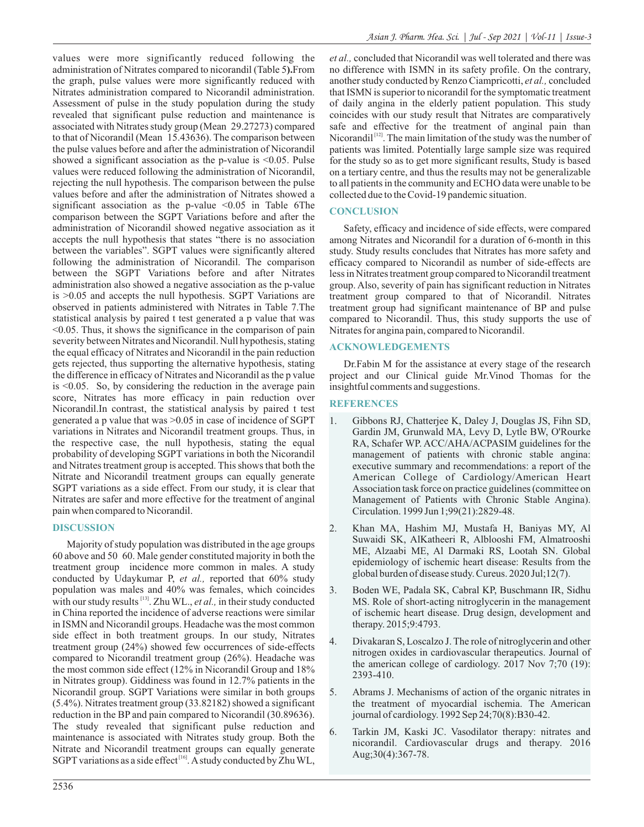values were more significantly reduced following the administration of Nitrates compared to nicorandil (Table 5**).**From the graph, pulse values were more significantly reduced with Nitrates administration compared to Nicorandil administration. Assessment of pulse in the study population during the study revealed that significant pulse reduction and maintenance is associated with Nitrates study group (Mean 29.27273) compared to that of Nicorandil (Mean 15.43636). The comparison between the pulse values before and after the administration of Nicorandil showed a significant association as the p-value is  $\leq 0.05$ . Pulse values were reduced following the administration of Nicorandil, rejecting the null hypothesis. The comparison between the pulse values before and after the administration of Nitrates showed a significant association as the p-value  $\leq 0.05$  in Table 6The comparison between the SGPT Variations before and after the administration of Nicorandil showed negative association as it accepts the null hypothesis that states "there is no association between the variables". SGPT values were significantly altered following the administration of Nicorandil. The comparison between the SGPT Variations before and after Nitrates administration also showed a negative association as the p-value is >0.05 and accepts the null hypothesis. SGPT Variations are observed in patients administered with Nitrates in Table 7.The statistical analysis by paired t test generated a p value that was <0.05. Thus, it shows the significance in the comparison of pain severity between Nitrates and Nicorandil. Null hypothesis, stating the equal efficacy of Nitrates and Nicorandil in the pain reduction gets rejected, thus supporting the alternative hypothesis, stating the difference in efficacy of Nitrates and Nicorandil as the p value is <0.05. So, by considering the reduction in the average pain score, Nitrates has more efficacy in pain reduction over Nicorandil.In contrast, the statistical analysis by paired t test generated a p value that was >0.05 in case of incidence of SGPT variations in Nitrates and Nicorandil treatment groups. Thus, in the respective case, the null hypothesis, stating the equal probability of developing SGPT variations in both the Nicorandil and Nitrates treatment group is accepted. This shows that both the Nitrate and Nicorandil treatment groups can equally generate SGPT variations as a side effect. From our study, it is clear that Nitrates are safer and more effective for the treatment of anginal pain when compared to Nicorandil.

## **DISCUSSION**

Majority of study population was distributed in the age groups 60 above and 50 60. Male gender constituted majority in both the treatment group incidence more common in males. A study conducted by Udaykumar P, *et al.,* reported that 60% study population was males and 40% was females, which coincides with our study results <sup>[13]</sup>. Zhu WL., *et al.*, in their study conducted in China reported the incidence of adverse reactions were similar in ISMN and Nicorandil groups. Headache was the most common side effect in both treatment groups. In our study, Nitrates treatment group (24%) showed few occurrences of side-effects compared to Nicorandil treatment group (26%). Headache was the most common side effect (12% in Nicorandil Group and 18% in Nitrates group). Giddiness was found in 12.7% patients in the Nicorandil group. SGPT Variations were similar in both groups (5.4%). Nitrates treatment group (33.82182) showed a significant reduction in the BP and pain compared to Nicorandil (30.89636). The study revealed that significant pulse reduction and maintenance is associated with Nitrates study group. Both the Nitrate and Nicorandil treatment groups can equally generate SGPT variations as a side effect<sup>[16]</sup>. A study conducted by Zhu WL, *et al.,* concluded that Nicorandil was well tolerated and there was no difference with ISMN in its safety profile. On the contrary, another study conducted by Renzo Ciampricotti, *et al.,* concluded that ISMN is superior to nicorandil for the symptomatic treatment of daily angina in the elderly patient population. This study coincides with our study result that Nitrates are comparatively safe and effective for the treatment of anginal pain than Nicorandil<sup>[12]</sup>. The main limitation of the study was the number of patients was limited. Potentially large sample size was required for the study so as to get more significant results, Study is based on a tertiary centre, and thus the results may not be generalizable to all patients in the community and ECHO data were unable to be collected due to the Covid-19 pandemic situation.

# **CONCLUSION**

Safety, efficacy and incidence of side effects, were compared among Nitrates and Nicorandil for a duration of 6-month in this study. Study results concludes that Nitrates has more safety and efficacy compared to Nicorandil as number of side-effects are less in Nitrates treatment group compared to Nicorandil treatment group. Also, severity of pain has significant reduction in Nitrates treatment group compared to that of Nicorandil. Nitrates treatment group had significant maintenance of BP and pulse compared to Nicorandil. Thus, this study supports the use of Nitrates for angina pain, compared to Nicorandil.

# **ACKNOWLEDGEMENTS**

Dr.Fabin M for the assistance at every stage of the research project and our Clinical guide Mr.Vinod Thomas for the insightful comments and suggestions.

# **REFERENCES**

- 1. Gibbons RJ, Chatterjee K, Daley J, Douglas JS, Fihn SD, Gardin JM, Grunwald MA, Levy D, Lytle BW, O'Rourke RA, Schafer WP. ACC/AHA/ACPASIM guidelines for the management of patients with chronic stable angina: executive summary and recommendations: a report of the American College of Cardiology/American Heart Association task force on practice guidelines (committee on Management of Patients with Chronic Stable Angina). Circulation. 1999 Jun 1;99(21):2829-48.
- 2. Khan MA, Hashim MJ, Mustafa H, Baniyas MY, Al Suwaidi SK, AlKatheeri R, Alblooshi FM, Almatrooshi ME, Alzaabi ME, Al Darmaki RS, Lootah SN. Global epidemiology of ischemic heart disease: Results from the global burden of disease study. Cureus. 2020 Jul;12(7).
- 3. Boden WE, Padala SK, Cabral KP, Buschmann IR, Sidhu MS. Role of short-acting nitroglycerin in the management of ischemic heart disease. Drug design, development and therapy. 2015;9:4793.
- 4. Divakaran S, Loscalzo J. The role of nitroglycerin and other nitrogen oxides in cardiovascular therapeutics. Journal of the american college of cardiology. 2017 Nov 7;70 (19): 2393-410.
- 5. Abrams J. Mechanisms of action of the organic nitrates in the treatment of myocardial ischemia. The American journal of cardiology. 1992 Sep 24;70(8):B30-42.
- 6. Tarkin JM, Kaski JC. Vasodilator therapy: nitrates and nicorandil. Cardiovascular drugs and therapy. 2016 Aug;30(4):367-78.